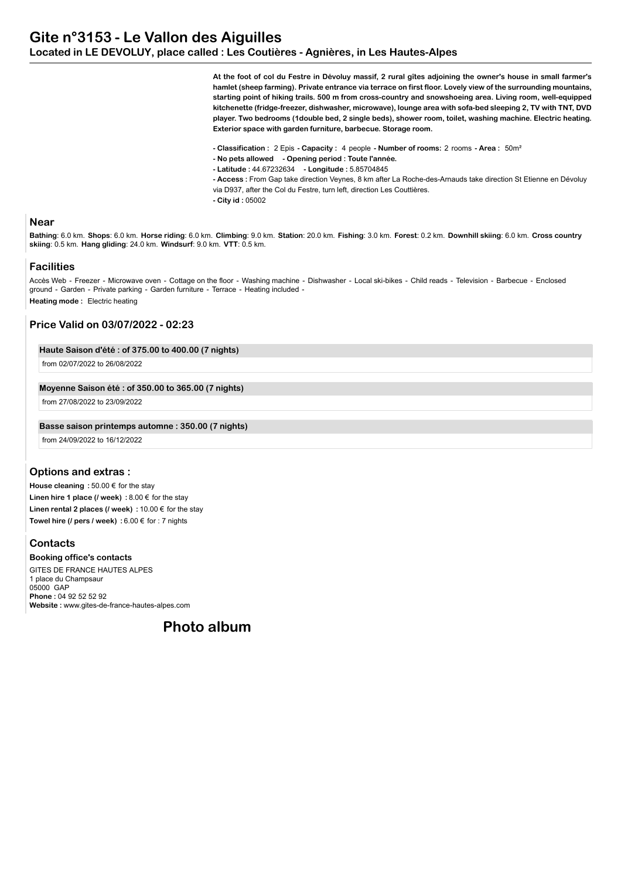**At the foot of col du Festre in Dévoluy massif, 2 rural gîtes adjoining the owner's house in small farmer's hamlet (sheep farming). Private entrance via terrace on first floor. Lovely view of the surrounding mountains, starting point of hiking trails. 500 m from cross-country and snowshoeing area. Living room, well-equipped kitchenette (fridge-freezer, dishwasher, microwave), lounge area with sofa-bed sleeping 2, TV with TNT, DVD player. Two bedrooms (1double bed, 2 single beds), shower room, toilet, washing machine. Electric heating. Exterior space with garden furniture, barbecue. Storage room.**

**- Classification :** 2 Epis **- Capacity :** 4 people **- Number of rooms:** 2 rooms **- Area :** 50m²

- **No pets allowed Opening period : Toute l'année.**
- **Latitude :** 44.67232634  **Longitude :** 5.85704845

**- Access :** From Gap take direction Veynes, 8 km after La Roche-des-Arnauds take direction St Etienne en Dévoluy via D937, after the Col du Festre, turn left, direction Les Couttières.

**- City id :** 05002

### **Near**

**Bathing**: 6.0 km. **Shops**: 6.0 km. **Horse riding**: 6.0 km. **Climbing**: 9.0 km. **Station**: 20.0 km. **Fishing**: 3.0 km. **Forest**: 0.2 km. **Downhill skiing**: 6.0 km. **Cross country skiing**: 0.5 km. **Hang gliding**: 24.0 km. **Windsurf**: 9.0 km. **VTT**: 0.5 km.

## **Facilities**

Accès Web - Freezer - Microwave oven - Cottage on the floor - Washing machine - Dishwasher - Local ski-bikes - Child reads - Television - Barbecue - Enclosed ground - Garden - Private parking - Garden furniture - Terrace - Heating included - **Heating mode :** Electric heating

### **Price Valid on 03/07/2022 - 02:23**

## **Haute Saison d'été : of 375.00 to 400.00 (7 nights)**

from 02/07/2022 to 26/08/2022

### **Moyenne Saison été : of 350.00 to 365.00 (7 nights)**

from 27/08/2022 to 23/09/2022

#### **Basse saison printemps automne : 350.00 (7 nights)**

from 24/09/2022 to 16/12/2022

## **Options and extras :**

**House cleaning :** 50.00 € for the stay **Linen hire 1 place (/ week) :** 8.00 € for the stay **Linen rental 2 places (/ week) :** 10.00 € for the stay **Towel hire (/ pers / week) :** 6.00 € for : 7 nights

## **Contacts**

**Booking office's contacts** GITES DE FRANCE HAUTES ALPES 1 place du Champsaur 05000 GAP **Phone :** 04 92 52 52 92 **Website :** www.gites-de-france-hautes-alpes.com